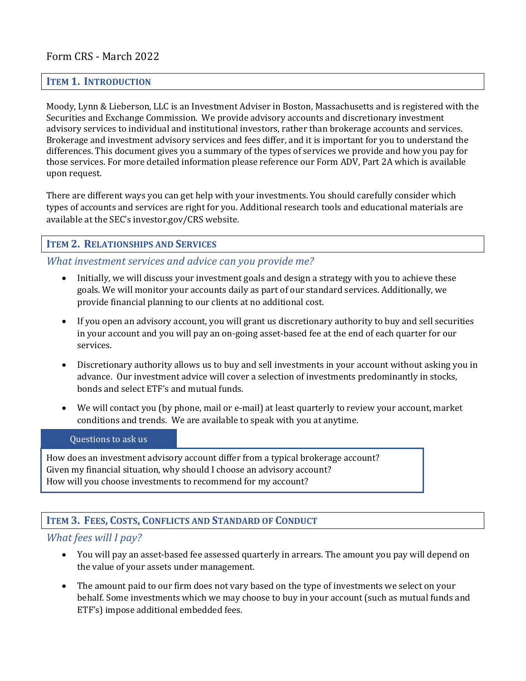# Form CRS - March 2022

## **ITEM 1. INTRODUCTION**

Moody, Lynn & Lieberson, LLC is an Investment Adviser in Boston, Massachusetts and is registered with the Securities and Exchange Commission.We provide advisory accounts and discretionary investment advisory services to individual and institutional investors, rather than brokerage accounts and services. Brokerage and investment advisory services and fees differ, and it is important for you to understand the differences. This document gives you a summary of the types of services we provide and how you pay for those services. For more detailed information please reference our Form ADV, Part 2A which is available upon request.

There are different ways you can get help with your investments. You should carefully consider which types of accounts and services are right for you. Additional research tools and educational materials are available at the SEC's investor.gov/CRS website.

## **ITEM 2. RELATIONSHIPS AND SERVICES**

*What investment services and advice can you provide me?*

- Initially, we will discuss your investment goals and design a strategy with you to achieve these goals. We will monitor your accounts daily as part of our standard services. Additionally, we provide financial planning to our clients at no additional cost.
- If you open an advisory account, you will grant us discretionary authority to buy and sell securities in your account and you will pay an on-going asset-based fee at the end of each quarter for our services.
- Discretionary authority allows us to buy and sell investments in your account without asking you in advance. Our investment advice will cover a selection of investments predominantly in stocks, bonds and select ETF's and mutual funds.
- We will contact you (by phone, mail or e-mail) at least quarterly to review your account, market conditions and trends. We are available to speak with you at anytime.

### Questions to ask us

How does an investment advisory account differ from a typical brokerage account? Given my financial situation, why should I choose an advisory account? How will you choose investments to recommend for my account?

# **ITEM 3. FEES, COSTS, CONFLICTS AND STANDARD OF CONDUCT**

## *What fees will I pay?*

- You will pay an asset-based fee assessed quarterly in arrears. The amount you pay will depend on the value of your assets under management.
- The amount paid to our firm does not vary based on the type of investments we select on your behalf. Some investments which we may choose to buy in your account (such as mutual funds and ETF's) impose additional embedded fees.